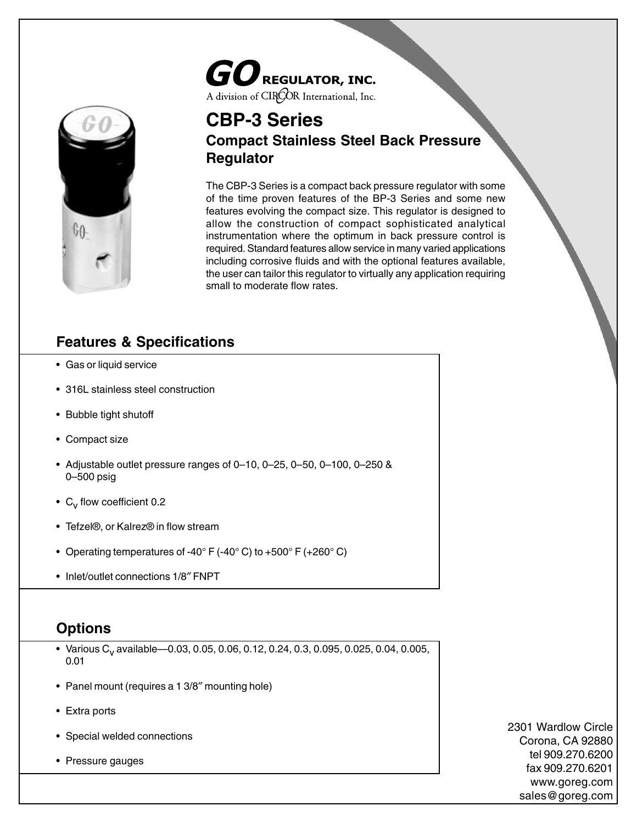# $\boldsymbol{GO}$ REGULATOR, INC. A division of CIRCOR International, Inc.



# **CBP-3 Series Compact Stainless Steel Back Pressure Regulator**

The CBP-3 Series is a compact back pressure regulator with some of the time proven features of the BP-3 Series and some new features evolving the compact size. This regulator is designed to allow the construction of compact sophisticated analytical instrumentation where the optimum in back pressure control is required. Standard features allow service in many varied applications including corrosive fluids and with the optional features available, the user can tailor this regulator to virtually any application requiring small to moderate flow rates.

### **Features & Specifications**

- Gas or liquid service
- 316L stainless steel construction
- Bubble tight shutoff
- Compact size
- Adjustable outlet pressure ranges of 0–10, 0–25, 0–50, 0–100, 0–250 & 0–500 psig
- $C_v$  flow coefficient 0.2
- Tefzel®, or Kalrez® in flow stream
- Operating temperatures of -40 $\degree$  F (-40 $\degree$  C) to +500 $\degree$  F (+260 $\degree$  C)
- Inlet/outlet connections 1/8″ FNPT

#### **Options**

- Various C<sub>v</sub> available—0.03, 0.05, 0.06, 0.12, 0.24, 0.3, 0.095, 0.025, 0.04, 0.005, 0.01
- Panel mount (requires a 1 3/8″ mounting hole)
- Extra ports
- Special welded connections
- Pressure gauges

2301 Wardlow Circle Corona, CA 92880 tel 909.270.6200 fax 909.270.6201 www.goreg.com sales@goreg.com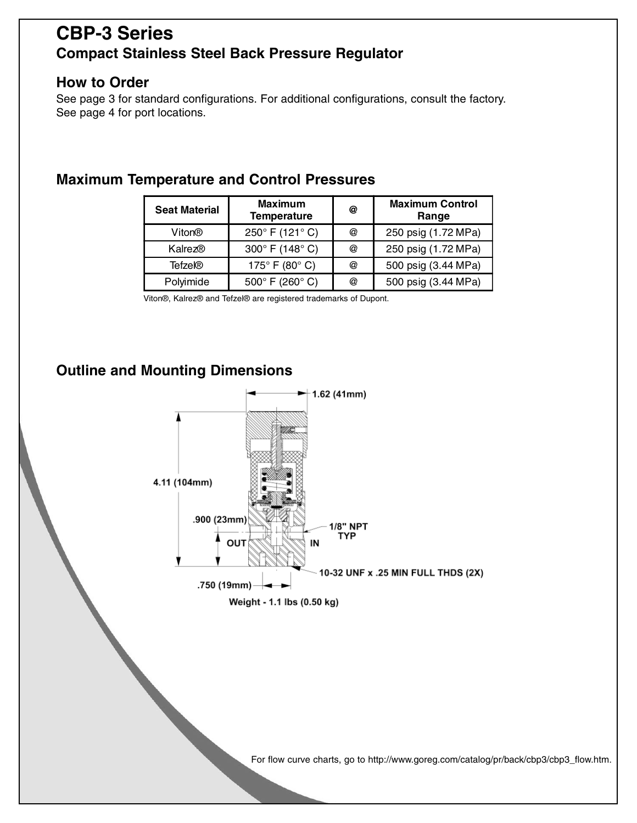# **CBP-3 Series Compact Stainless Steel Back Pressure Regulator**

#### **How to Order**

See page 3 for standard configurations. For additional configurations, consult the factory. See page 4 for port locations.

| <b>Seat Material</b> | <b>Maximum</b><br><b>Temperature</b> | @ | <b>Maximum Control</b><br>Range |
|----------------------|--------------------------------------|---|---------------------------------|
| Viton®               | 250° F (121° C)                      | @ | 250 psig (1.72 MPa)             |
| Kalrez®              | 300° F (148° C)                      | @ | 250 psig (1.72 MPa)             |
| Tefzel®              | 175 $\degree$ F (80 $\degree$ C)     | @ | 500 psig (3.44 MPa)             |
| Polyimide            | 500 $\degree$ F (260 $\degree$ C)    | @ | 500 psig (3.44 MPa)             |

### **Maximum Temperature and Control Pressures**

Viton®, Kalrez® and Tefzel® are registered trademarks of Dupont.

## **Outline and Mounting Dimensions**



For flow curve charts, go to http://www.goreg.com/catalog/pr/back/cbp3/cbp3\_flow.htm.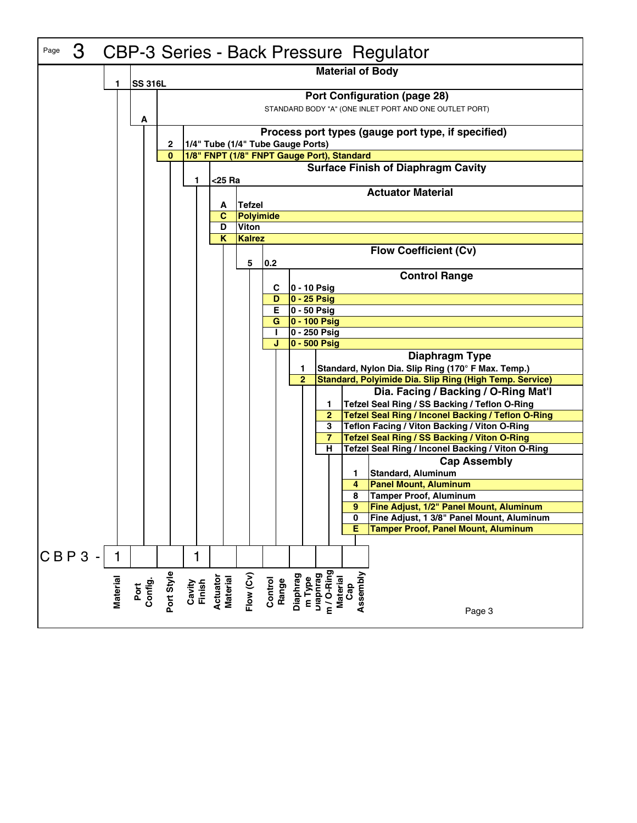